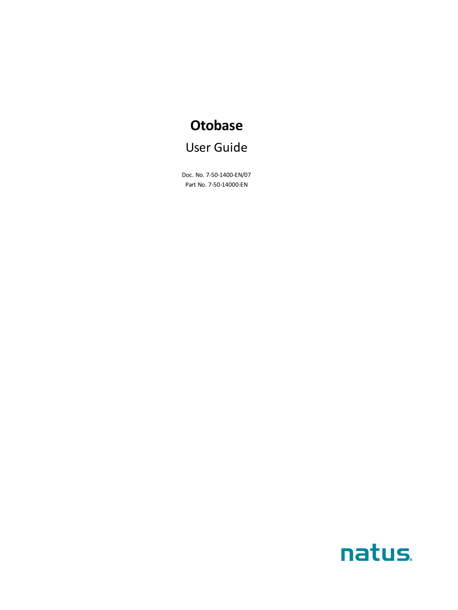# **Otobase** User Guide

Doc. No. 7-50-1400-EN/07 Part No. 7-50-14000-EN

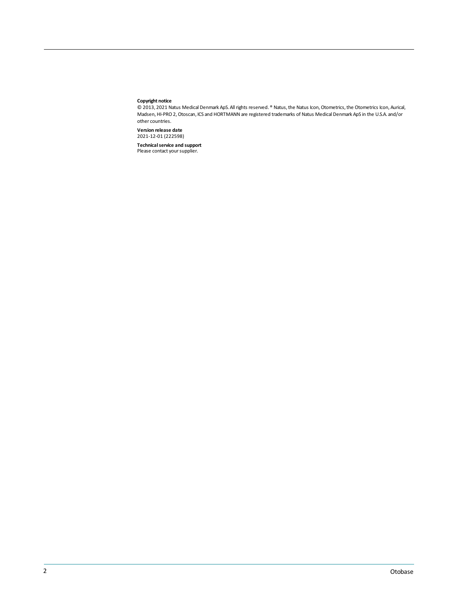#### **Copyright notice**

© 2013, 2021 Natus Medical Denmark ApS. Allrights reserved. ® Natus,the Natus Icon,Otometrics,the Otometrics Icon, Aurical, Madsen,HI-PRO 2,Otoscan, ICS and HORTMANN are registered trademarks of Natus Medical Denmark ApS in the U.S.A. and/or other countries.

**Version release date** 2021-12-01 (222598)

**Technical service and support<br>Please contact your supplier.**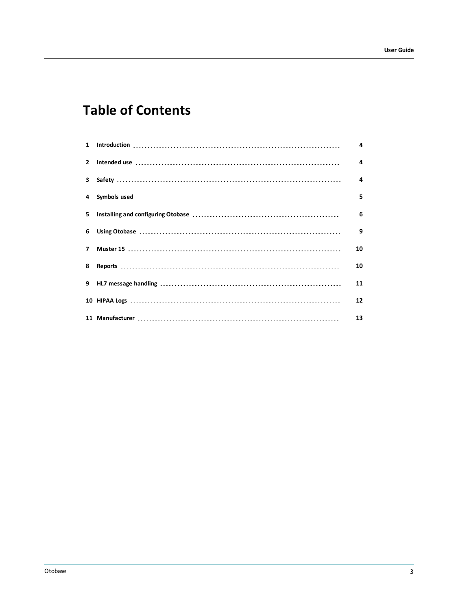# **Table of Contents**

|              | 4  |
|--------------|----|
| $\mathbf{2}$ | 4  |
|              | 4  |
|              | 5  |
|              | 6  |
|              | 9  |
| $\mathbf{z}$ | 10 |
| 8            | 10 |
|              | 11 |
|              | 12 |
|              | 13 |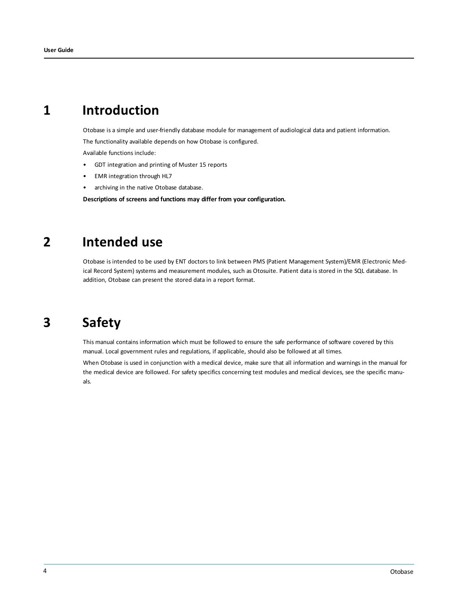## **1 Introduction**

<span id="page-3-0"></span>Otobase is a simple and user-friendly database module for management of audiological data and patient information.

The functionality available depends on how Otobase is configured.

Available functions include:

- GDT integration and printing of Muster 15 reports
- EMR integration through HL7
- archiving in the native Otobase database.

<span id="page-3-1"></span>**Descriptions of screens and functions may differ from your configuration.**

## **2 Intended use**

<span id="page-3-2"></span>Otobase is intended to be used by ENT doctors to link between PMS (Patient Management System)/EMR (Electronic Medical Record System) systems and measurement modules, such as Otosuite. Patient data is stored in the SQL database. In addition, Otobase can present the stored data in a report format.

# **3 Safety**

This manual contains information which must be followed to ensure the safe performance of software covered by this manual. Local government rules and regulations, if applicable, should also be followed at all times.

When Otobase is used in conjunction with a medical device, make sure that all information and warnings in the manual for the medical device are followed. For safety specifics concerning test modules and medical devices, see the specific manuals.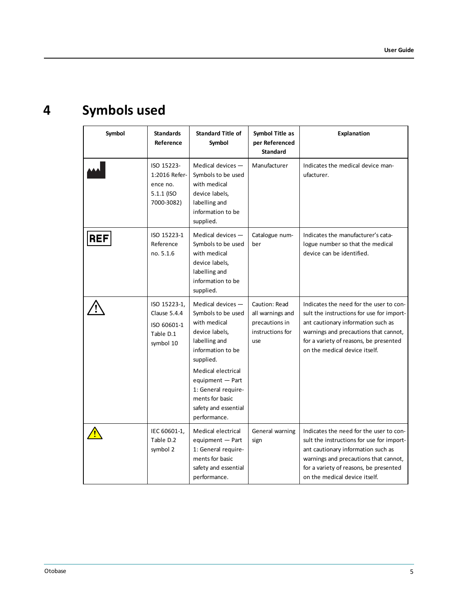# **4 Symbols used**

<span id="page-4-0"></span>

| Symbol     | <b>Standards</b><br>Reference                                         | <b>Standard Title of</b><br>Symbol                                                                                                                                                                                                                         | Symbol Title as<br>per Referenced<br><b>Standard</b>                           | Explanation                                                                                                                                                                                                                                    |
|------------|-----------------------------------------------------------------------|------------------------------------------------------------------------------------------------------------------------------------------------------------------------------------------------------------------------------------------------------------|--------------------------------------------------------------------------------|------------------------------------------------------------------------------------------------------------------------------------------------------------------------------------------------------------------------------------------------|
|            | ISO 15223-<br>1:2016 Refer-<br>ence no.<br>5.1.1 (ISO<br>7000-3082)   | Medical devices $-$<br>Symbols to be used<br>with medical<br>device labels,<br>labelling and<br>information to be<br>supplied.                                                                                                                             | Manufacturer                                                                   | Indicates the medical device man-<br>ufacturer.                                                                                                                                                                                                |
| <b>REF</b> | ISO 15223-1<br>Reference<br>no. 5.1.6                                 | Medical devices $-$<br>Symbols to be used<br>with medical<br>device labels,<br>labelling and<br>information to be<br>supplied.                                                                                                                             | Catalogue num-<br>ber                                                          | Indicates the manufacturer's cata-<br>logue number so that the medical<br>device can be identified.                                                                                                                                            |
|            | ISO 15223-1,<br>Clause 5.4.4<br>ISO 60601-1<br>Table D.1<br>symbol 10 | Medical devices $-$<br>Symbols to be used<br>with medical<br>device labels,<br>labelling and<br>information to be<br>supplied.<br>Medical electrical<br>equipment - Part<br>1: General require-<br>ments for basic<br>safety and essential<br>performance. | Caution: Read<br>all warnings and<br>precautions in<br>instructions for<br>use | Indicates the need for the user to con-<br>sult the instructions for use for import-<br>ant cautionary information such as<br>warnings and precautions that cannot,<br>for a variety of reasons, be presented<br>on the medical device itself. |
|            | IEC 60601-1,<br>Table D.2<br>symbol 2                                 | Medical electrical<br>equipment - Part<br>1: General require-<br>ments for basic<br>safety and essential<br>performance.                                                                                                                                   | General warning<br>sign                                                        | Indicates the need for the user to con-<br>sult the instructions for use for import-<br>ant cautionary information such as<br>warnings and precautions that cannot,<br>for a variety of reasons, be presented<br>on the medical device itself. |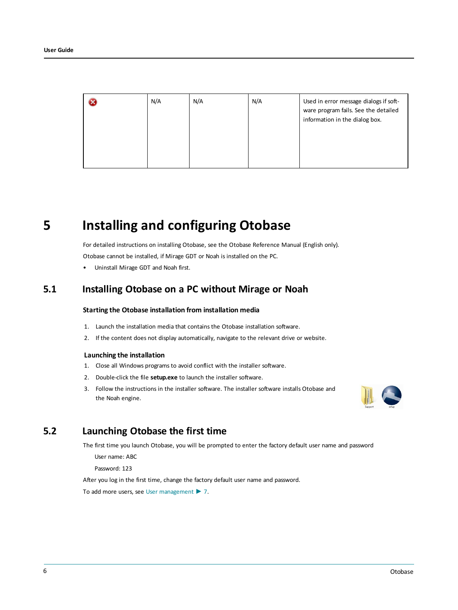| N/A | N/A | N/A | Used in error message dialogs if soft-<br>ware program fails. See the detailed<br>information in the dialog box. |
|-----|-----|-----|------------------------------------------------------------------------------------------------------------------|
|     |     |     |                                                                                                                  |

## **5 Installing and configuring Otobase**

<span id="page-5-0"></span>For detailed instructions on installing Otobase, see the Otobase Reference Manual (English only). Otobase cannot be installed, if Mirage GDT or Noah is installed on the PC.

• Uninstall Mirage GDT and Noah first.

### **5.1 Installing Otobase on a PC without Mirage or Noah**

### **Starting the Otobase installation from installation media**

- 1. Launch the installation media that contains the Otobase installation software.
- 2. If the content does not display automatically, navigate to the relevant drive or website.

#### **Launching the installation**

- 1. Close all Windows programs to avoid conflict with the installer software.
- 2. Double-click the file **setup.exe** to launch the installer software.
- 3. Follow the instructions in the installer software. The installer software installs Otobase and the Noah engine.



### **5.2 Launching Otobase the first time**

The first time you launch Otobase, you will be prompted to enter the factory default user name and password

User name: ABC

Password: 123

After you log in the first time, change the factory default user name and password.

To add more users, see User [management](#page-6-0) ► 7.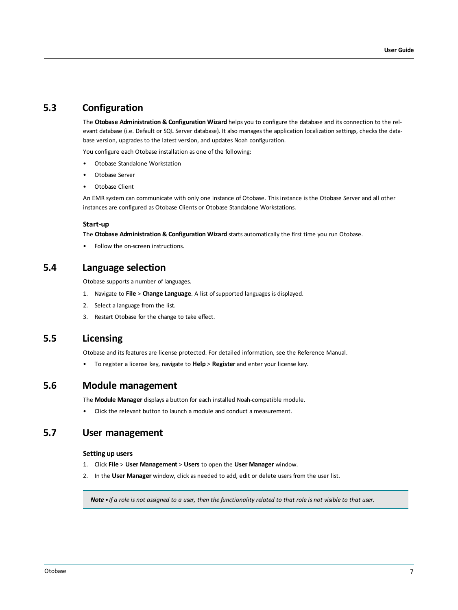### **5.3 Configuration**

The **Otobase Administration & Configuration Wizard** helps you to configure the database and its connection to the relevant database (i.e. Default or SQL Server database). It also manages the application localization settings, checks the database version, upgrades to the latest version, and updates Noah configuration.

You configure each Otobase installation as one of the following:

- Otobase Standalone Workstation
- Otobase Server
- Otobase Client

An EMR system can communicate with only one instance of Otobase. This instance is the Otobase Server and all other instances are configured as Otobase Clients or Otobase Standalone Workstations.

#### **Start-up**

The **Otobase Administration & Configuration Wizard** starts automatically the first time you run Otobase.

• Follow the on-screen instructions.

### **5.4 Language selection**

Otobase supports a number of languages.

- 1. Navigate to **File** > **Change Language**. A list of supported languages is displayed.
- 2. Select a language from the list.
- 3. Restart Otobase for the change to take effect.

### **5.5 Licensing**

Otobase and its features are license protected. For detailed information, see the Reference Manual.

• To register a license key, navigate to **Help** > **Register** and enter your license key.

### **5.6 Module management**

The **Module Manager** displays a button for each installed Noah-compatible module.

<span id="page-6-0"></span>• Click the relevant button to launch a module and conduct a measurement.

### **5.7 User management**

#### **Setting up users**

- 1. Click **File** > **User Management** > **Users** to open the **User Manager** window.
- 2. In the **User Manager** window, click as needed to add, edit or delete users from the user list.

Note  $\cdot$  If a role is not assigned to a user, then the functionality related to that role is not visible to that user.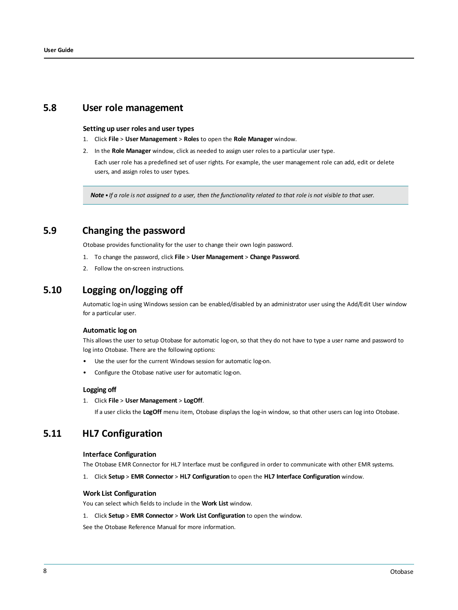### **5.8 User role management**

### **Setting up user roles and user types**

- 1. Click **File** > **User Management** > **Roles** to open the **Role Manager** window.
- 2. In the **Role Manager** window, click as needed to assign user roles to a particular user type.

Each user role has a predefined set of user rights. For example, the user management role can add, edit or delete users, and assign roles to user types.

Note • If a role is not assigned to a user, then the functionality related to that role is not visible to that user.

### **5.9 Changing the password**

Otobase provides functionality for the user to change their own login password.

- 1. To change the password, click **File** > **User Management** > **Change Password**.
- 2. Follow the on-screen instructions.

### **5.10 Logging on/logging off**

Automatic log-in using Windows session can be enabled/disabled by an administrator user using the Add/Edit User window for a particular user.

### **Automatic log on**

This allows the user to setup Otobase for automatic log-on, so that they do not have to type a user name and password to log into Otobase. There are the following options:

- Use the user for the current Windows session for automatic log-on.
- Configure the Otobase native user for automatic log-on.

### **Logging off**

#### 1. Click **File** > **User Management** > **LogOff**.

If a user clicks the **LogOff** menu item, Otobase displays the log-in window, so that other users can log into Otobase.

### **5.11 HL7 Configuration**

### **Interface Configuration**

The Otobase EMR Connector for HL7 Interface must be configured in order to communicate with other EMR systems.

1. Click **Setup** > **EMR Connector** > **HL7 Configuration** to open the **HL7 Interface Configuration** window.

#### **Work List Configuration**

You can select which fields to include in the **Work List** window.

1. Click **Setup** > **EMR Connector** > **Work List Configuration** to open the window.

See the Otobase Reference Manual for more information.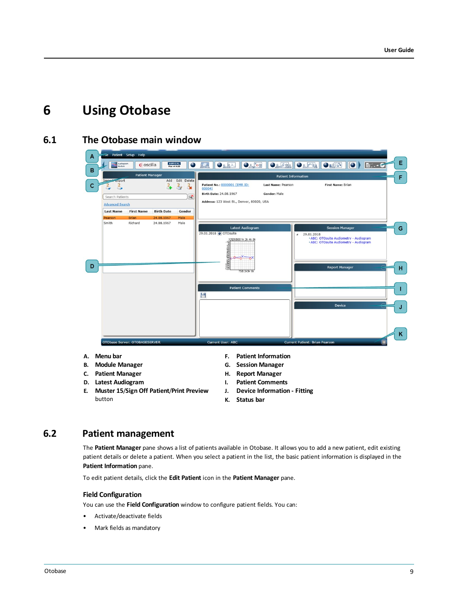## <span id="page-8-0"></span>**6 Using Otobase**

### **6.1 The Otobase main window**

| A  |                                       | Patient Setup Help            |                   |                                                   |                                                                                                                                       |                                           |                                                                                                                                                                               |        |
|----|---------------------------------------|-------------------------------|-------------------|---------------------------------------------------|---------------------------------------------------------------------------------------------------------------------------------------|-------------------------------------------|-------------------------------------------------------------------------------------------------------------------------------------------------------------------------------|--------|
| в  | Audiogram<br>Module                   | Coscilla                      |                   | <b>AURICAL</b><br><b>Plus v4 AUD</b><br>$\bullet$ | O(158)<br>ORRX                                                                                                                        |                                           | <b>M∵ - G</b>                                                                                                                                                                 | Ε.     |
|    |                                       | <b>Patient Manager</b>        |                   |                                                   |                                                                                                                                       | <b>Patient Information</b>                |                                                                                                                                                                               | F      |
| c  | Import Export<br>B<br>Search Patients |                               | Add<br>å.         | <b>Edit Delete</b><br>a,<br>ేశ<br>$\infty$        | Patient No.: 0000001 (EMR ID:<br>00004)<br>Birth Date: 24.08.1967                                                                     | Last Name: Pearson<br><b>Gender: Male</b> | First Name: Brian                                                                                                                                                             |        |
|    | <b>Advanced Search</b>                |                               |                   |                                                   | Address: 123 West St., Denver, 80020, USA                                                                                             |                                           |                                                                                                                                                                               |        |
|    | <b>Last Name</b>                      | <b>First Name</b>             | <b>Birth Date</b> | Gender                                            |                                                                                                                                       |                                           |                                                                                                                                                                               |        |
|    | Pearson                               | <b>Brian</b>                  | 24.08.1967        | Male                                              |                                                                                                                                       |                                           |                                                                                                                                                                               |        |
| D  | Smith                                 | Richard                       | 24.08.1967        | Male                                              | <b>Latest Audiogram</b><br>29.01.2018 O OTOsuite<br>1252505001k 2k 4k 8k<br>2002222422<br>750 Sk3k 6k<br><b>Patient Comments</b><br>۳ |                                           | <b>Session Manager</b><br>29.01.2018<br>$\overline{a}$<br><b>ABC: OTOsuite Audiometry - Audiogram</b><br><b>ABC: OTOsuite Audiometry - Audiogram</b><br><b>Report Manager</b> | G<br>н |
|    |                                       | OTObase Server: OTOBASESERVER |                   |                                                   | <b>Current User: ABC</b>                                                                                                              |                                           | <b>Device</b><br><b>Current Patient: Brian Pearson</b>                                                                                                                        | κ      |
| А. | Menu bar                              |                               |                   |                                                   | F.                                                                                                                                    | <b>Patient Information</b>                |                                                                                                                                                                               |        |
| В. | <b>Module Manager</b>                 |                               |                   |                                                   | G.                                                                                                                                    | <b>Session Manager</b>                    |                                                                                                                                                                               |        |
| C. | <b>Patient Manager</b>                |                               |                   |                                                   | н.                                                                                                                                    | <b>Report Manager</b>                     |                                                                                                                                                                               |        |

- **D. Latest Audiogram**
- **E. Muster 15**/**Sign Off Patient**/**Print Preview** button
- 
- **I. Patient Comments**
- **J. Device Information - Fitting**
- **K. Status bar**

### **6.2 Patient management**

The **Patient Manager** pane shows a list of patients available in Otobase. It allows you to add a new patient, edit existing patient details or delete a patient. When you select a patient in the list, the basic patient information is displayed in the **Patient Information** pane.

To edit patient details, click the **Edit Patient** icon in the **Patient Manager** pane.

### **Field Configuration**

You can use the **Field Configuration** window to configure patient fields. You can:

- Activate/deactivate fields
- Mark fields as mandatory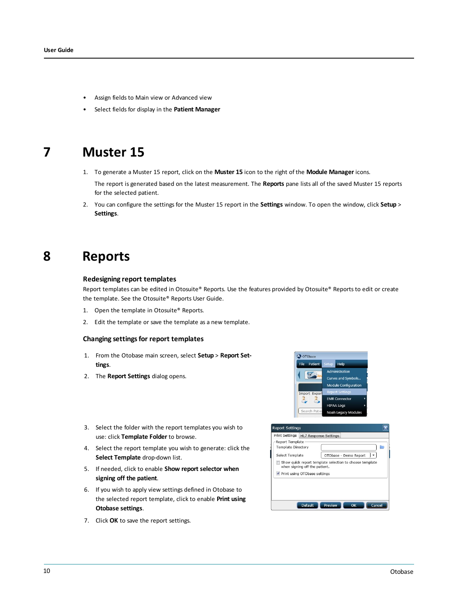- Assign fields to Main view or Advanced view
- <span id="page-9-0"></span>• Select fields for display in the **Patient Manager**

## **7 Muster 15**

1. To generate a Muster 15 report, click on the **Muster 15** icon to the right of the **Module Manager** icons.

The report is generated based on the latest measurement. The **Reports** pane lists all of the saved Muster 15 reports for the selected patient.

<span id="page-9-1"></span>2. You can configure the settings for the Muster 15 report in the **Settings** window. To open the window, click **Setup** > **Settings**.

## **8 Reports**

#### **Redesigning report templates**

Report templates can be edited in Otosuite® Reports. Use the features provided by Otosuite® Reports to edit or create the template. See the Otosuite® Reports User Guide.

- 1. Open the template in Otosuite® Reports.
- 2. Edit the template or save the template as a new template.

#### **Changing settingsfor report templates**

- 1. From the Otobase main screen, select **Setup** > **Report Settings**.
- 2. The **Report Settings** dialog opens.



- 3. Select the folder with the report templates you wish to use: click **Template Folder** to browse.
- 4. Select the report template you wish to generate: click the **Select Template** drop-down list.
- 5. If needed, click to enable **Show report selector when signing off the patient**.
- 6. If you wish to apply view settings defined in Otobase to the selected report template, click to enable **Print using Otobase settings**.
- 7. Click **OK** to save the report settings.

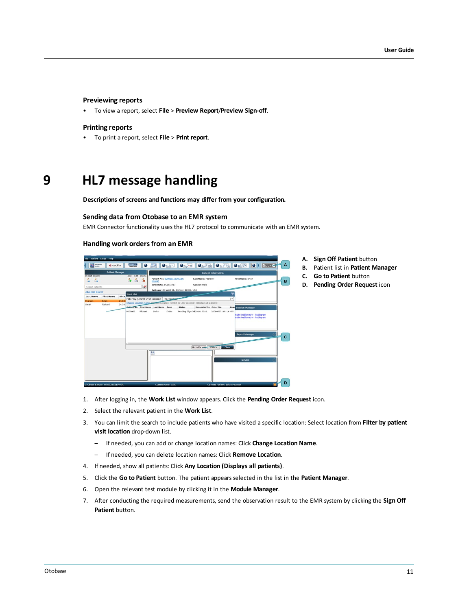#### **Previewing reports**

• To view a report, select **File** > **Preview Report**/**Preview Sign-off**.

#### **Printing reports**

<span id="page-10-0"></span>• To print a report, select **File** > **Print report**.

## **9 HL7 message handling**

**Descriptions of screens and functions may differ from your configuration.**

#### **Sending data from Otobase to an EMR system**

EMR Connector functionality uses the HL7 protocol to communicate with an EMR system.

#### **Handling work ordersfrom an EMR**



- 1. After logging in, the **Work List** window appears. Click the **Pending Order Request** icon.
- 2. Select the relevant patient in the **Work List**.
- 3. You can limit the search to include patients who have visited a specific location: Select location from **Filter by patient visit location** drop-down list.
	- If needed, you can add or change location names: Click **Change Location Name**.
	- If needed, you can delete location names: Click **Remove Location**.
- 4. If needed, show all patients: Click **Any Location (Displays all patients)**.
- 5. Click the **Go to Patient** button. The patient appears selected in the list in the **Patient Manager**.
- 6. Open the relevant test module by clicking it in the **Module Manager**.
- 7. After conducting the required measurements, send the observation result to the EMR system by clicking the **Sign Off Patient** button.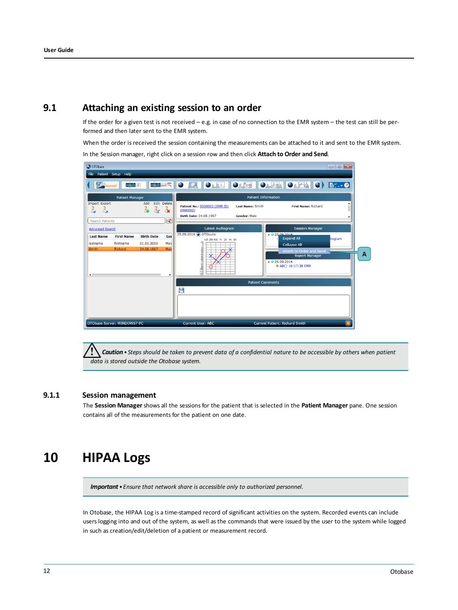### **9.1 Attaching an existing session to an order**

If the order for a given test is not received  $-$  e.g. in case of no connection to the EMR system  $-$  the test can still be performed and then later sent to the EMR system.

When the order is received the session containing the measurements can be attached to it and sent to the EMR system.

In the Session manager, right click on a session row and then click **Attach to Order and Send**.

| O OTObase                                               |                                           |                                               |                                       |                                                                     |                                  |                                                                                                                                                                                       |   |
|---------------------------------------------------------|-------------------------------------------|-----------------------------------------------|---------------------------------------|---------------------------------------------------------------------|----------------------------------|---------------------------------------------------------------------------------------------------------------------------------------------------------------------------------------|---|
| File                                                    | Patient Setup Help                        |                                               |                                       |                                                                     |                                  |                                                                                                                                                                                       |   |
| <b>IZS</b>                                              | $n\overline{o}$ ah<br>ournal              | $n$ oah aud                                   |                                       | ORPL<br>$\bullet$<br>احتما                                          |                                  | $Oe^{\kappa_{02}}$ $Oe^{\kappa_{01}}$ $Oe^{\kappa_{12}}$ $O$<br><b>B</b> : - 0                                                                                                        |   |
|                                                         | <b>Patient Manager</b>                    |                                               |                                       | <b>Patient Information</b>                                          |                                  |                                                                                                                                                                                       |   |
| Import Export<br>Search Patients                        |                                           | Add<br>÷.<br>$\rightarrow$                    | Edit Delete<br><b>CX</b><br>$\propto$ | Patient No.: 0000002 (EMR ID:<br>0000002)<br>Birth Date: 24.08.1967 | Last Name: Smith<br>Gender: Male | First Name: Richard                                                                                                                                                                   |   |
| <b>Advanced Search</b>                                  |                                           |                                               |                                       | <b>Latest Audiogram</b>                                             |                                  | <b>Session Manager</b>                                                                                                                                                                |   |
| <b>Last Name</b><br>lastname<br>Smith<br>$\blacksquare$ | <b>First Name</b><br>firstname<br>Richard | <b>Birth Date</b><br>01.01.2000<br>24.08.1967 | Ger<br>Male<br>Male<br>٠              | 25.09.2014 O OTOsuite<br>125 250 500 1K 2K 4K 8K<br>$-10$           |                                  | 4 0 25 00 2014<br><b>Expand All</b><br><b>diogram</b><br><b>Collapse All</b><br>Attach to Order and Send<br><b>Report Manager</b><br>$4$ $0$ 25.09.2014<br><b>C</b> ABC: 16:17:38 EMR | A |
|                                                         |                                           |                                               |                                       |                                                                     |                                  | <b>Patient Comments</b>                                                                                                                                                               |   |
|                                                         |                                           |                                               |                                       | ۳                                                                   |                                  |                                                                                                                                                                                       |   |
|                                                         | OTObase Server: WINDOWS7-PC               |                                               |                                       | <b>Current User: ABC</b>                                            |                                  | <b>Current Patient: Richard Smith</b>                                                                                                                                                 |   |

Caution • Steps should be taken to prevent data of a confidential nature to be accessible by others when patient *data is stored outside the Otobase system.*

### **9.1.1 Session management**

<span id="page-11-0"></span>The **Session Manager** shows all the sessions for the patient that is selected in the **Patient Manager** pane. One session contains all of the measurements for the patient on one date.

## **10 HIPAA Logs**

*Important • Ensure that network share is accessible only to authorized personnel.*

In Otobase, the HIPAA Log is a time-stamped record of significant activities on the system. Recorded events can include users logging into and out of the system, as well as the commands that were issued by the user to the system while logged in such as creation/edit/deletion of a patient or measurement record.